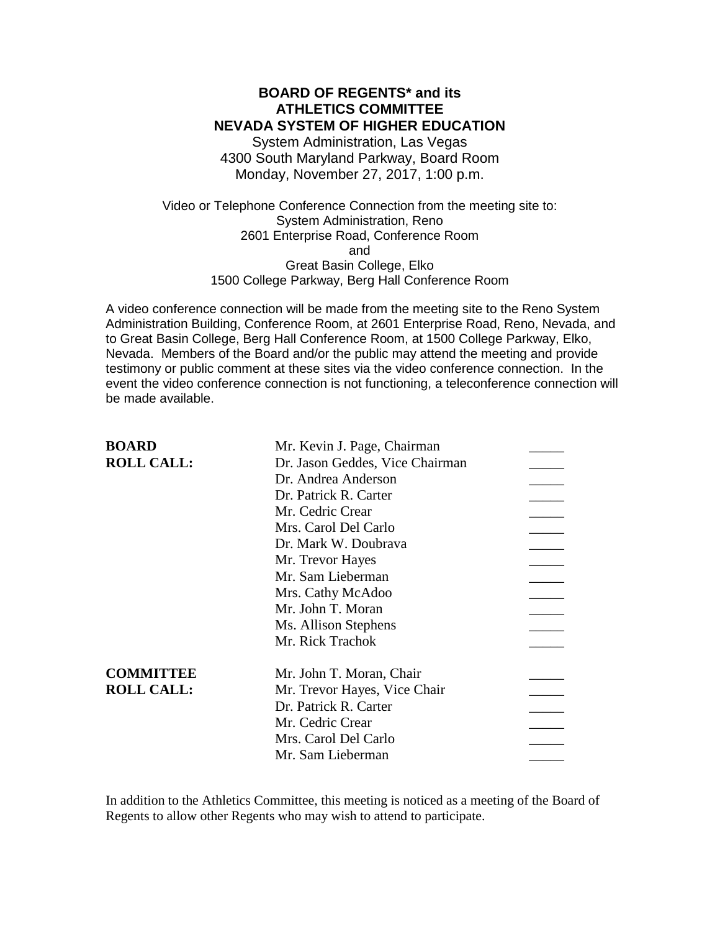### **BOARD OF REGENTS\* and its ATHLETICS COMMITTEE NEVADA SYSTEM OF HIGHER EDUCATION**

System Administration, Las Vegas 4300 South Maryland Parkway, Board Room Monday, November 27, 2017, 1:00 p.m.

Video or Telephone Conference Connection from the meeting site to: System Administration, Reno 2601 Enterprise Road, Conference Room and Great Basin College, Elko 1500 College Parkway, Berg Hall Conference Room

A video conference connection will be made from the meeting site to the Reno System Administration Building, Conference Room, at 2601 Enterprise Road, Reno, Nevada, and to Great Basin College, Berg Hall Conference Room, at 1500 College Parkway, Elko, Nevada. Members of the Board and/or the public may attend the meeting and provide testimony or public comment at these sites via the video conference connection. In the event the video conference connection is not functioning, a teleconference connection will be made available.

| <b>BOARD</b>      | Mr. Kevin J. Page, Chairman     |  |
|-------------------|---------------------------------|--|
| <b>ROLL CALL:</b> | Dr. Jason Geddes, Vice Chairman |  |
|                   | Dr. Andrea Anderson             |  |
|                   | Dr. Patrick R. Carter           |  |
|                   | Mr. Cedric Crear                |  |
|                   | Mrs. Carol Del Carlo            |  |
|                   | Dr. Mark W. Doubrava            |  |
|                   | Mr. Trevor Hayes                |  |
|                   | Mr. Sam Lieberman               |  |
|                   | Mrs. Cathy McAdoo               |  |
|                   | Mr. John T. Moran               |  |
|                   | Ms. Allison Stephens            |  |
|                   | Mr. Rick Trachok                |  |
| <b>COMMITTEE</b>  | Mr. John T. Moran, Chair        |  |
| <b>ROLL CALL:</b> | Mr. Trevor Hayes, Vice Chair    |  |
|                   | Dr. Patrick R. Carter           |  |
|                   | Mr. Cedric Crear                |  |
|                   | Mrs. Carol Del Carlo            |  |
|                   | Mr. Sam Lieberman               |  |
|                   |                                 |  |

In addition to the Athletics Committee, this meeting is noticed as a meeting of the Board of Regents to allow other Regents who may wish to attend to participate.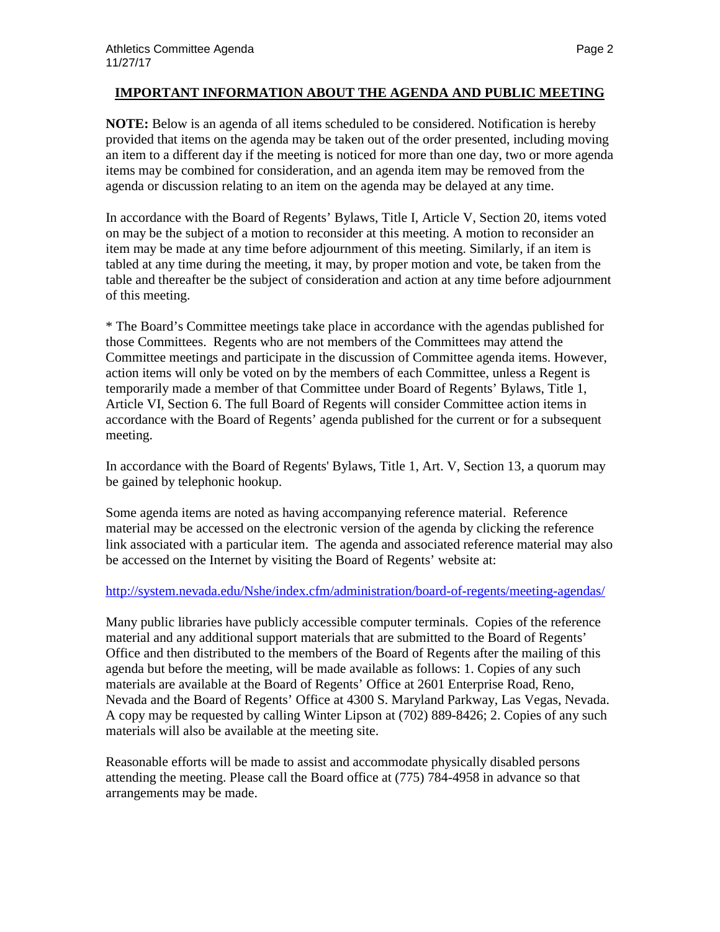### **IMPORTANT INFORMATION ABOUT THE AGENDA AND PUBLIC MEETING**

**NOTE:** Below is an agenda of all items scheduled to be considered. Notification is hereby provided that items on the agenda may be taken out of the order presented, including moving an item to a different day if the meeting is noticed for more than one day, two or more agenda items may be combined for consideration, and an agenda item may be removed from the agenda or discussion relating to an item on the agenda may be delayed at any time.

In accordance with the Board of Regents' Bylaws, Title I, Article V, Section 20, items voted on may be the subject of a motion to reconsider at this meeting. A motion to reconsider an item may be made at any time before adjournment of this meeting. Similarly, if an item is tabled at any time during the meeting, it may, by proper motion and vote, be taken from the table and thereafter be the subject of consideration and action at any time before adjournment of this meeting.

\* The Board's Committee meetings take place in accordance with the agendas published for those Committees. Regents who are not members of the Committees may attend the Committee meetings and participate in the discussion of Committee agenda items. However, action items will only be voted on by the members of each Committee, unless a Regent is temporarily made a member of that Committee under Board of Regents' Bylaws, Title 1, Article VI, Section 6. The full Board of Regents will consider Committee action items in accordance with the Board of Regents' agenda published for the current or for a subsequent meeting.

In accordance with the Board of Regents' Bylaws, Title 1, Art. V, Section 13, a quorum may be gained by telephonic hookup.

Some agenda items are noted as having accompanying reference material. Reference material may be accessed on the electronic version of the agenda by clicking the reference link associated with a particular item. The agenda and associated reference material may also be accessed on the Internet by visiting the Board of Regents' website at:

### <http://system.nevada.edu/Nshe/index.cfm/administration/board-of-regents/meeting-agendas/>

Many public libraries have publicly accessible computer terminals. Copies of the reference material and any additional support materials that are submitted to the Board of Regents' Office and then distributed to the members of the Board of Regents after the mailing of this agenda but before the meeting, will be made available as follows: 1. Copies of any such materials are available at the Board of Regents' Office at 2601 Enterprise Road, Reno, Nevada and the Board of Regents' Office at 4300 S. Maryland Parkway, Las Vegas, Nevada. A copy may be requested by calling Winter Lipson at (702) 889-8426; 2. Copies of any such materials will also be available at the meeting site.

Reasonable efforts will be made to assist and accommodate physically disabled persons attending the meeting. Please call the Board office at (775) 784-4958 in advance so that arrangements may be made.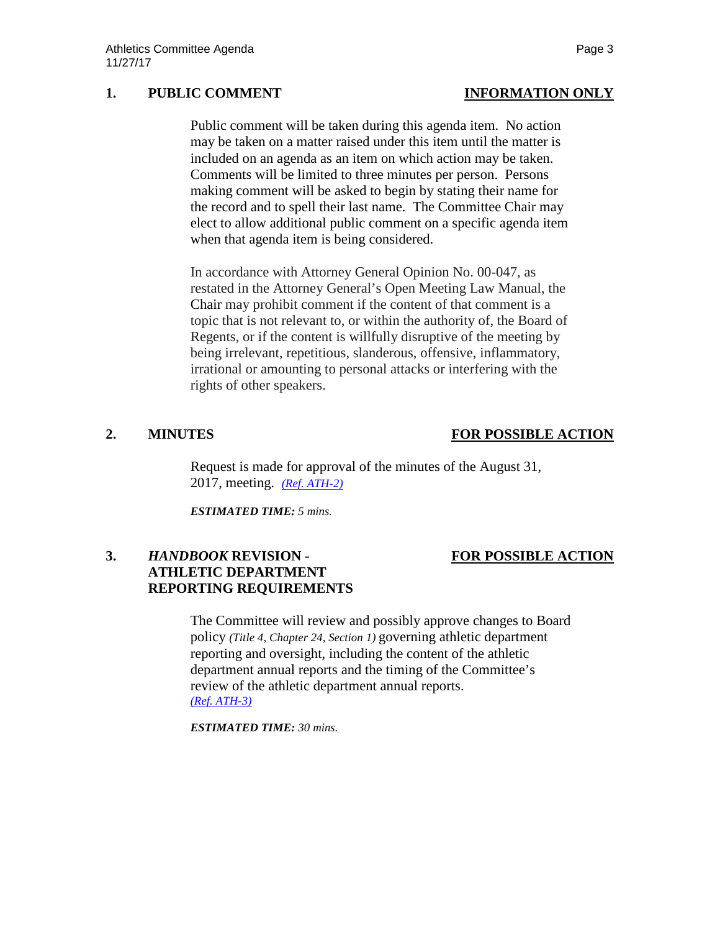# **1. PUBLIC COMMENT INFORMATION ONLY**

# Public comment will be taken during this agenda item. No action

may be taken on a matter raised under this item until the matter is included on an agenda as an item on which action may be taken. Comments will be limited to three minutes per person. Persons making comment will be asked to begin by stating their name for the record and to spell their last name. The Committee Chair may elect to allow additional public comment on a specific agenda item when that agenda item is being considered.

In accordance with Attorney General Opinion No. 00-047, as restated in the Attorney General's Open Meeting Law Manual, the Chair may prohibit comment if the content of that comment is a topic that is not relevant to, or within the authority of, the Board of Regents, or if the content is willfully disruptive of the meeting by being irrelevant, repetitious, slanderous, offensive, inflammatory, irrational or amounting to personal attacks or interfering with the rights of other speakers.

# **2. MINUTES FOR POSSIBLE ACTION**

Request is made for approval of the minutes of the August 31, 2017, meeting. *[\(Ref. ATH-2\)](https://nshe.nevada.edu/wp-content/uploads/file/BoardOfRegents/Agendas/2017/nov-mtgs/ath-ref/ATH-2.pdf)*

*ESTIMATED TIME: 5 mins.*

# **3.** *HANDBOOK* **REVISION - FOR POSSIBLE ACTION ATHLETIC DEPARTMENT REPORTING REQUIREMENTS**

The Committee will review and possibly approve changes to Board policy *(Title 4, Chapter 24, Section 1)* governing athletic department reporting and oversight, including the content of the athletic department annual reports and the timing of the Committee's review of the athletic department annual reports. *[\(Ref. ATH-3\)](https://nshe.nevada.edu/wp-content/uploads/file/BoardOfRegents/Agendas/2017/nov-mtgs/ath-ref/ATH-3.pdf)*

*ESTIMATED TIME: 30 mins.*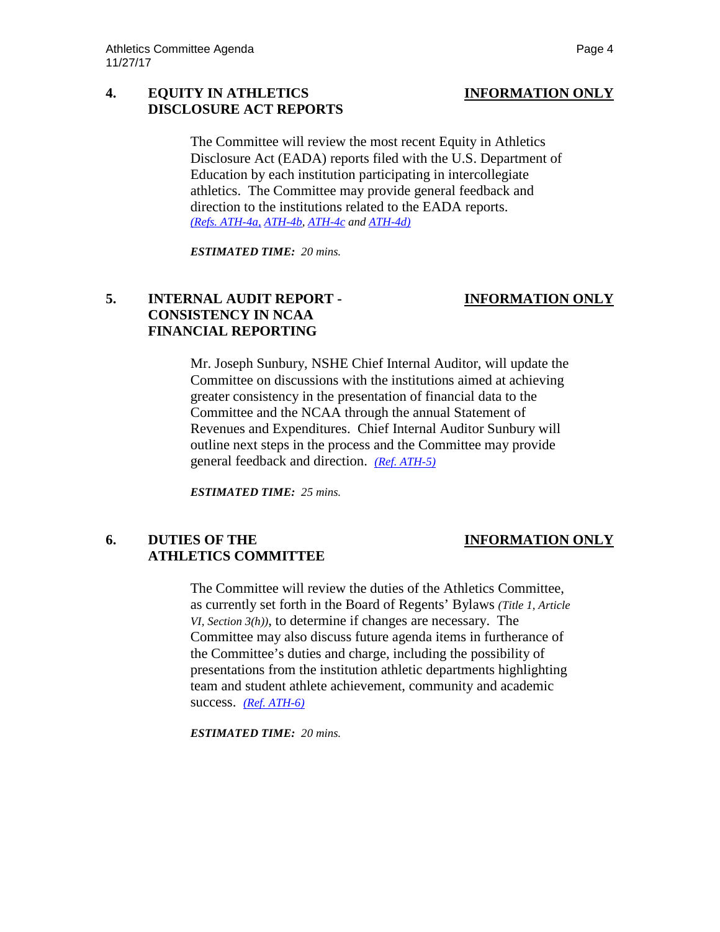# **4. EQUITY IN ATHLETICS INFORMATION ONLY DISCLOSURE ACT REPORTS**

The Committee will review the most recent Equity in Athletics Disclosure Act (EADA) reports filed with the U.S. Department of Education by each institution participating in intercollegiate athletics. The Committee may provide general feedback and direction to the institutions related to the EADA reports. *[\(Refs. ATH-4a,](https://nshe.nevada.edu/wp-content/uploads/file/BoardOfRegents/Agendas/2017/nov-mtgs/ath-ref/ATH-4a.pdf) [ATH-4b,](https://nshe.nevada.edu/wp-content/uploads/file/BoardOfRegents/Agendas/2017/nov-mtgs/ath-ref/ATH-4b.pdf) [ATH-4c](https://nshe.nevada.edu/wp-content/uploads/file/BoardOfRegents/Agendas/2017/nov-mtgs/ath-ref/ATH-4c.pdf) an[d ATH-4d\)](https://nshe.nevada.edu/wp-content/uploads/file/BoardOfRegents/Agendas/2017/nov-mtgs/ath-ref/ATH-4d.pdf)*

*ESTIMATED TIME: 20 mins.*

# **5. INTERNAL AUDIT REPORT - INFORMATION ONLY CONSISTENCY IN NCAA FINANCIAL REPORTING**

Mr. Joseph Sunbury, NSHE Chief Internal Auditor, will update the Committee on discussions with the institutions aimed at achieving greater consistency in the presentation of financial data to the Committee and the NCAA through the annual Statement of Revenues and Expenditures. Chief Internal Auditor Sunbury will outline next steps in the process and the Committee may provide general feedback and direction. *[\(Ref. ATH-5\)](https://nshe.nevada.edu/wp-content/uploads/file/BoardOfRegents/Agendas/2017/nov-mtgs/ath-ref/ATH-5.pdf)*

*ESTIMATED TIME: 25 mins.*

# **6. DUTIES OF THE INFORMATION ONLY ATHLETICS COMMITTEE**

The Committee will review the duties of the Athletics Committee, as currently set forth in the Board of Regents' Bylaws *(Title 1, Article VI, Section 3(h))*, to determine if changes are necessary. The Committee may also discuss future agenda items in furtherance of the Committee's duties and charge, including the possibility of presentations from the institution athletic departments highlighting team and student athlete achievement, community and academic success. *[\(Ref. ATH-6\)](https://nshe.nevada.edu/wp-content/uploads/file/BoardOfRegents/Agendas/2017/nov-mtgs/ath-ref/ATH-6.pdf)*

*ESTIMATED TIME: 20 mins.*